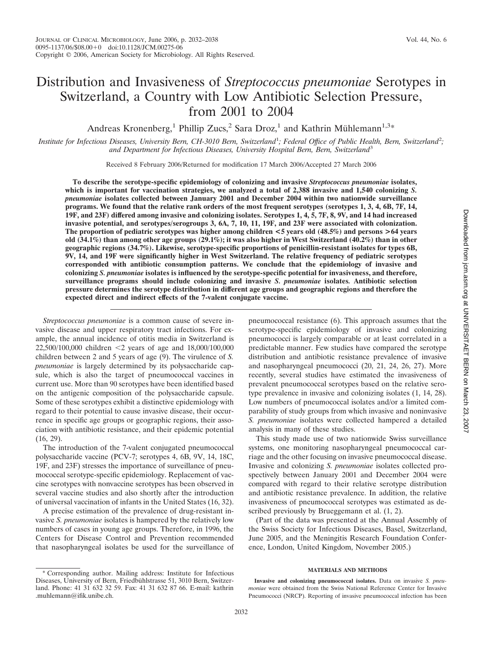# Distribution and Invasiveness of *Streptococcus pneumoniae* Serotypes in Switzerland, a Country with Low Antibiotic Selection Pressure, from 2001 to 2004

Andreas Kronenberg,<sup>1</sup> Phillip Zucs,<sup>2</sup> Sara Droz,<sup>1</sup> and Kathrin Mühlemann<sup>1,3\*</sup>

Institute for Infectious Diseases, University Bern, CH-3010 Bern, Switzerland<sup>1</sup>; Federal Office of Public Health, Bern, Switzerland<sup>2</sup>; *and Department for Infectious Diseases, University Hospital Bern, Bern, Switzerland*<sup>3</sup>

Received 8 February 2006/Returned for modification 17 March 2006/Accepted 27 March 2006

**To describe the serotype-specific epidemiology of colonizing and invasive** *Streptococcus pneumoniae* **isolates, which is important for vaccination strategies, we analyzed a total of 2,388 invasive and 1,540 colonizing** *S. pneumoniae* **isolates collected between January 2001 and December 2004 within two nationwide surveillance programs. We found that the relative rank orders of the most frequent serotypes (serotypes 1, 3, 4, 6B, 7F, 14, 19F, and 23F) differed among invasive and colonizing isolates. Serotypes 1, 4, 5, 7F, 8, 9V, and 14 had increased invasive potential, and serotypes/serogroups 3, 6A, 7, 10, 11, 19F, and 23F were associated with colonization. The proportion of pediatric serotypes was higher among children <5 years old (48.5%) and persons >64 years old (34.1%) than among other age groups (29.1%); it was also higher in West Switzerland (40.2%) than in other geographic regions (34.7%). Likewise, serotype-specific proportions of penicillin-resistant isolates for types 6B, 9V, 14, and 19F were significantly higher in West Switzerland. The relative frequency of pediatric serotypes corresponded with antibiotic consumption patterns. We conclude that the epidemiology of invasive and colonizing** *S. pneumoniae* **isolates is influenced by the serotype-specific potential for invasiveness, and therefore, surveillance programs should include colonizing and invasive** *S. pneumoniae* **isolates***.* **Antibiotic selection pressure determines the serotype distribution in different age groups and geographic regions and therefore the expected direct and indirect effects of the 7-valent conjugate vaccine.**

*Streptococcus pneumoniae* is a common cause of severe invasive disease and upper respiratory tract infections. For example, the annual incidence of otitis media in Switzerland is 22,500/100,000 children -2 years of age and 18,000/100,000 children between 2 and 5 years of age (9). The virulence of *S. pneumoniae* is largely determined by its polysaccharide capsule, which is also the target of pneumococcal vaccines in current use. More than 90 serotypes have been identified based on the antigenic composition of the polysaccharide capsule. Some of these serotypes exhibit a distinctive epidemiology with regard to their potential to cause invasive disease, their occurrence in specific age groups or geographic regions, their association with antibiotic resistance, and their epidemic potential (16, 29).

The introduction of the 7-valent conjugated pneumococcal polysaccharide vaccine (PCV-7; serotypes 4, 6B, 9V, 14, 18C, 19F, and 23F) stresses the importance of surveillance of pneumococcal serotype-specific epidemiology. Replacement of vaccine serotypes with nonvaccine serotypes has been observed in several vaccine studies and also shortly after the introduction of universal vaccination of infants in the United States (16, 32).

A precise estimation of the prevalence of drug-resistant invasive *S. pneumoniae* isolates is hampered by the relatively low numbers of cases in young age groups. Therefore, in 1996, the Centers for Disease Control and Prevention recommended that nasopharyngeal isolates be used for the surveillance of pneumococcal resistance (6). This approach assumes that the serotype-specific epidemiology of invasive and colonizing pneumococci is largely comparable or at least correlated in a predictable manner. Few studies have compared the serotype distribution and antibiotic resistance prevalence of invasive and nasopharyngeal pneumococci (20, 21, 24, 26, 27). More recently, several studies have estimated the invasiveness of prevalent pneumococcal serotypes based on the relative serotype prevalence in invasive and colonizing isolates (1, 14, 28). Low numbers of pneumococcal isolates and/or a limited comparability of study groups from which invasive and noninvasive *S. pneumoniae* isolates were collected hampered a detailed analysis in many of these studies.

This study made use of two nationwide Swiss surveillance systems, one monitoring nasopharyngeal pneumococcal carriage and the other focusing on invasive pneumococcal disease. Invasive and colonizing *S. pneumoniae* isolates collected prospectively between January 2001 and December 2004 were compared with regard to their relative serotype distribution and antibiotic resistance prevalence. In addition, the relative invasiveness of pneumococcal serotypes was estimated as described previously by Brueggemann et al. (1, 2).

(Part of the data was presented at the Annual Assembly of the Swiss Society for Infectious Diseases, Basel, Switzerland, June 2005, and the Meningitis Research Foundation Conference, London, United Kingdom, November 2005.)

# **MATERIALS AND METHODS**

**Invasive and colonizing pneumococcal isolates.** Data on invasive *S. pneumoniae* were obtained from the Swiss National Reference Center for Invasive Pneumococci (NRCP). Reporting of invasive pneumococcal infection has been

<sup>\*</sup> Corresponding author. Mailing address: Institute for Infectious Diseases, University of Bern, Friedbühlstrasse 51, 3010 Bern, Switzerland. Phone: 41 31 632 32 59. Fax: 41 31 632 87 66. E-mail: kathrin .muhlemann@ifik.unibe.ch.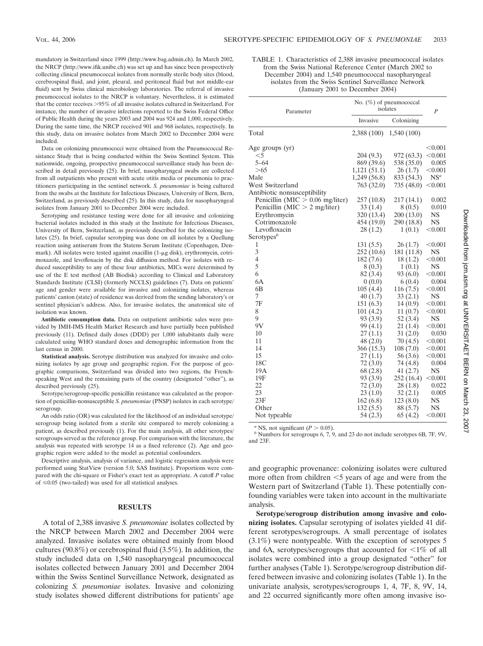mandatory in Switzerland since 1999 (http://www.bag.admin.ch). In March 2002, the NRCP (http://www.ifik.unibe.ch) was set up and has since been prospectively collecting clinical pneumococcal isolates from normally sterile body sites (blood, cerebrospinal fluid, and joint, pleural, and peritoneal fluid but not middle-ear fluid) sent by Swiss clinical microbiology laboratories. The referral of invasive pneumococcal isolates to the NRCP is voluntary. Nevertheless, it is estimated that the center receives >95% of all invasive isolates cultured in Switzerland. For instance, the number of invasive infections reported to the Swiss Federal Office of Public Health during the years 2003 and 2004 was 924 and 1,000, respectively. During the same time, the NRCP received 901 and 968 isolates, respectively. In this study, data on invasive isolates from March 2002 to December 2004 were included.

Data on colonizing pneumococci were obtained from the Pneumococcal Resistance Study that is being conducted within the Swiss Sentinel System. This nationwide, ongoing, prospective pneumococcal surveillance study has been described in detail previously (25). In brief, nasopharyngeal swabs are collected from all outpatients who present with acute otitis media or pneumonia to practitioners participating in the sentinel network. *S. pneumoniae* is being cultured from the swabs at the Institute for Infectious Diseases, University of Bern, Bern, Switzerland, as previously described (25). In this study, data for nasopharyngeal isolates from January 2001 to December 2004 were included.

Serotyping and resistance testing were done for all invasive and colonizing bacterial isolates included in this study at the Institute for Infectious Diseases, University of Bern, Switzerland, as previously described for the colonizing isolates (25). In brief, capsular serotyping was done on all isolates by a Quellung reaction using antiserum from the Statens Serum Institute (Copenhagen, Denmark). All isolates were tested against oxacillin (1-µg disk), erythromycin, cotrimoxazole, and levofloxacin by the disk diffusion method. For isolates with reduced susceptibility to any of these four antibiotics, MICs were determined by use of the E test method (AB Biodisk) according to Clinical and Laboratory Standards Institute (CLSI) (formerly NCCLS) guidelines (7). Data on patients' age and gender were available for invasive and colonizing isolates, whereas patients' canton (state) of residence was derived from the sending laboratory's or sentinel physician's address. Also, for invasive isolates, the anatomical site of isolation was known.

**Antibiotic consumption data.** Data on outpatient antibiotic sales were provided by IMH-IMS Health Market Research and have partially been published previously (11). Defined daily doses (DDD) per 1,000 inhabitants daily were calculated using WHO standard doses and demographic information from the last census in 2000.

**Statistical analysis.** Serotype distribution was analyzed for invasive and colonizing isolates by age group and geographic region. For the purpose of geographic comparisons, Switzerland was divided into two regions, the Frenchspeaking West and the remaining parts of the country (designated "other"), as described previously (25).

Serotype/serogroup-specific penicillin resistance was calculated as the proportion of penicillin-nonsusceptible *S. pneumoniae* (PNSP) isolates in each serotype/ serogroup.

An odds ratio (OR) was calculated for the likelihood of an individual serotype/ serogroup being isolated from a sterile site compared to merely colonizing a patient, as described previously (1). For the main analysis, all other serotypes/ serogroups served as the reference group. For comparison with the literature, the analysis was repeated with serotype 14 as a fixed reference (2). Age and geographic region were added to the model as potential confounders.

Descriptive analysis, analysis of variance, and logistic regression analysis were performed using StatView (version 5.0; SAS Institute). Proportions were compared with the chi-square or Fisher's exact test as appropriate. A cutoff *P* value of  $\leq 0.05$  (two-tailed) was used for all statistical analyses.

#### **RESULTS**

A total of 2,388 invasive *S. pneumoniae* isolates collected by the NRCP between March 2002 and December 2004 were analyzed. Invasive isolates were obtained mainly from blood cultures (90.8%) or cerebrospinal fluid (3.5%). In addition, the study included data on 1,540 nasopharyngeal pneumococcal isolates collected between January 2001 and December 2004 within the Swiss Sentinel Surveillance Network, designated as colonizing *S. pneumoniae* isolates. Invasive and colonizing study isolates showed different distributions for patients' age

| TABLE 1. Characteristics of 2,388 invasive pneumococcal isolates |
|------------------------------------------------------------------|
| from the Swiss National Reference Center (March 2002 to          |
| December 2004) and 1,540 pneumococcal nasopharyngeal             |
| isolates from the Swiss Sentinel Surveillance Network            |
| (January 2001 to December 2004)                                  |

| Parameter                          | No. $(\%)$ of pneumococcal<br>isolates | $\overline{P}$ |                |
|------------------------------------|----------------------------------------|----------------|----------------|
|                                    | Invasive                               | Colonizing     |                |
| Total                              | 2,388 (100)                            | 1,540(100)     |                |
| Age groups (yr)                    |                                        |                | < 0.001        |
| $<$ 5                              | 204(9.3)                               | 972 (63.3)     | < 0.001        |
| $5 - 64$                           | 869 (39.6)                             | 538 (35.0)     | 0.005          |
| >65                                | 1,121(51.1)                            | 26(1.7)        | < 0.001        |
| Male                               | 1,249 (56.8)                           | 833 (54.3)     | $NS^a$         |
| West Switzerland                   | 763 (32.0)                             | 735 (48.0)     | < 0.001        |
| Antibiotic nonsusceptibility       |                                        |                |                |
| Penicillin (MIC $> 0.06$ mg/liter) | 257(10.8)                              | 217(14.1)      | 0.002          |
| Penicillin (MIC $> 2$ mg/liter)    | 33(1.4)                                | 8(0.5)         | 0.010          |
| Erythromycin                       | 320 (13.4)                             | 200(13.0)      | <b>NS</b>      |
| Cotrimoxazole                      | 454 (19.0)                             | 290 (18.8)     | <b>NS</b>      |
| Levofloxacin                       | 28(1.2)                                | 1(0.1)         | < 0.001        |
| Serotypes <sup>b</sup>             |                                        |                |                |
| $\mathbf{1}$                       | 131(5.5)                               | 26(1.7)        | < 0.001        |
| 3                                  | 252(10.6)                              | 181 (11.8)     | NS             |
| $\overline{4}$                     | 182 (7.6)                              | 18(1.2)        | $<\!\!0.001$   |
| 5                                  | 8(0.3)                                 | 1(0.1)         | NS             |
| 6                                  | 82 (3.4)                               | 93(6.0)        | < 0.001        |
| 6A                                 | 0(0.0)                                 | 6(0.4)         | 0.004          |
| 6B                                 | 105(4.4)                               | 116(7.5)       | < 0.001        |
| 7                                  | 40(1.7)                                | 33(2.1)        | <b>NS</b>      |
| 7F                                 | 151 (6.3)                              | 14(0.9)        | $<\!\!0.001$   |
| 8                                  | 101(4.2)                               | 11(0.7)        | < 0.001        |
| 9                                  | 93 (3.9)                               | 52(3.4)        | <b>NS</b>      |
| 9V                                 | 99 (4.1)                               | 21(1.4)        | < 0.001        |
| 10                                 | 27(1.1)                                | 31(2.0)        | 0.030          |
| 11                                 | 48(2.0)                                | 70 (4.5)       | $< \!\! 0.001$ |
| 14                                 | 366 (15.3)                             | 108(7.0)       | < 0.001        |
| 15                                 | 27(1.1)                                | 56 (3.6)       | $< \!\! 0.001$ |
| 18C                                | 72(3.0)                                | 74 (4.8)       | 0.004          |
| 19A                                | 68 (2.8)                               | 41(2.7)        | NS             |
| 19F                                | 93 (3.9)                               | 252 (16.4)     | < 0.001        |
| 22                                 | 72(3.0)                                | 28 (1.8)       | 0.022          |
| 23                                 | 23(1.0)                                | 32(2.1)        | 0.005          |
| 23F                                | 162(6.8)                               | 123(8.0)       | <b>NS</b>      |
| Other                              | 132(5.5)                               | 88 (5.7)       | NS             |
| Not typeable                       | 54(2.3)                                | 65(4.2)        | < 0.001        |

*a* NS, not significant (*P*  $> 0.05$ ). *b* Numbers for serogroups 6, 7, 9, and 23 do not include serotypes 6B, 7F, 9V, and 23F.

and geographic provenance: colonizing isolates were cultured more often from children  $\leq$ 5 years of age and were from the Western part of Switzerland (Table 1). These potentially confounding variables were taken into account in the multivariate analysis.

**Serotype/serogroup distribution among invasive and colonizing isolates.** Capsular serotyping of isolates yielded 41 different serotypes/serogroups. A small percentage of isolates (3.1%) were nontypeable. With the exception of serotypes 5 and 6A, serotypes/serogroups that accounted for  $\leq 1\%$  of all isolates were combined into a group designated "other" for further analyses (Table 1). Serotype/serogroup distribution differed between invasive and colonizing isolates (Table 1). In the univariate analysis, serotypes/serogroups 1, 4, 7F, 8, 9V, 14, and 22 occurred significantly more often among invasive iso-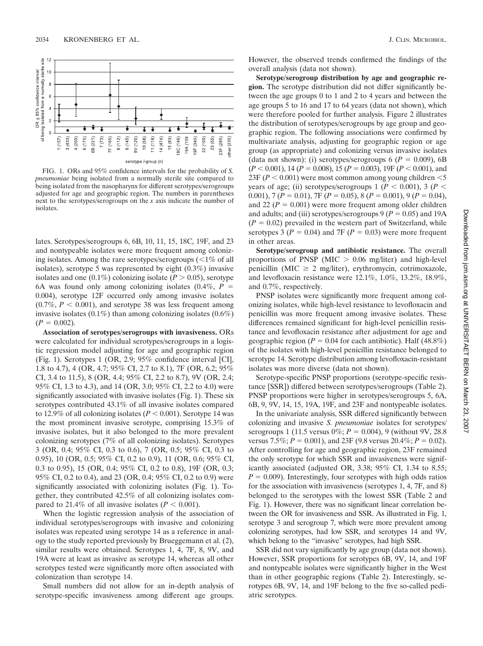

FIG. 1. ORs and 95% confidence intervals for the probability of *S. pneumoniae* being isolated from a normally sterile site compared to being isolated from the nasopharynx for different serotypes/serogroups adjusted for age and geographic region. The numbers in parentheses next to the serotypes/serogroups on the *x* axis indicate the number of isolates.

lates. Serotypes/serogroups 6, 6B, 10, 11, 15, 18C, 19F, and 23 and nontypeable isolates were more frequent among colonizing isolates. Among the rare serotypes/serogroups  $\left( \langle 1\% \rangle$  of all isolates), serotype 5 was represented by eight (0.3%) invasive isolates and one  $(0.1\%)$  colonizing isolate  $(P > 0.05)$ , serotype 6A was found only among colonizing isolates  $(0.4\%, P =$ 0.004), serotype 12F occurred only among invasive isolates  $(0.7\%, P < 0.001)$ , and serotype 38 was less frequent among invasive isolates  $(0.1\%)$  than among colonizing isolates  $(0.6\%)$  $(P = 0.002)$ .

**Association of serotypes/serogroups with invasiveness.** ORs were calculated for individual serotypes/serogroups in a logistic regression model adjusting for age and geographic region (Fig. 1). Serotypes 1 (OR, 2.9; 95% confidence interval [CI], 1.8 to 4.7), 4 (OR, 4.7; 95% CI, 2.7 to 8.1), 7F (OR, 6.2; 95% CI, 3.4 to 11.5), 8 (OR, 4.4; 95% CI, 2.2 to 8.7), 9V (OR, 2.4; 95% CI, 1.3 to 4.3), and 14 (OR, 3.0; 95% CI, 2.2 to 4.0) were significantly associated with invasive isolates (Fig. 1). These six serotypes contributed 43.1% of all invasive isolates compared to 12.9% of all colonizing isolates ( $P < 0.001$ ). Serotype 14 was the most prominent invasive serotype, comprising 15.3% of invasive isolates, but it also belonged to the more prevalent colonizing serotypes (7% of all colonizing isolates). Serotypes 3 (OR, 0.4; 95% CI, 0.3 to 0.6), 7 (OR, 0.5; 95% CI, 0.3 to 0.95), 10 (OR, 0.5; 95% CI, 0.2 to 0.9), 11 (OR, 0.6; 95% CI, 0.3 to 0.95), 15 (OR, 0.4; 95% CI, 0.2 to 0.8), 19F (OR, 0.3; 95% CI, 0.2 to 0.4), and 23 (OR, 0.4; 95% CI, 0.2 to 0.9) were significantly associated with colonizing isolates (Fig. 1). Together, they contributed 42.5% of all colonizing isolates compared to 21.4% of all invasive isolates  $(P < 0.001)$ .

When the logistic regression analysis of the association of individual serotypes/serogroups with invasive and colonizing isolates was repeated using serotype 14 as a reference in analogy to the study reported previously by Brueggemann et al. (2), similar results were obtained. Serotypes 1, 4, 7F, 8, 9V, and 19A were at least as invasive as serotype 14, whereas all other serotypes tested were significantly more often associated with colonization than serotype 14.

Small numbers did not allow for an in-depth analysis of serotype-specific invasiveness among different age groups.

However, the observed trends confirmed the findings of the overall analysis (data not shown).

**Serotype/serogroup distribution by age and geographic region.** The serotype distribution did not differ significantly between the age groups 0 to 1 and 2 to 4 years and between the age groups 5 to 16 and 17 to 64 years (data not shown), which were therefore pooled for further analysis. Figure 2 illustrates the distribution of serotypes/serogroups by age group and geographic region. The following associations were confirmed by multivariate analysis, adjusting for geographic region or age group (as appropriate) and colonizing versus invasive isolates (data not shown): (i) serotypes/serogroups 6 ( $P = 0.009$ ), 6B  $(P < 0.001)$ , 14 ( $P = 0.008$ ), 15 ( $P = 0.003$ ), 19F ( $P < 0.001$ ), and  $23F (P < 0.001)$  were most common among young children  $<$  5 years of age; (ii) serotypes/serogroups 1 ( $P < 0.001$ ), 3 ( $P <$ 0.001),  $7 (P = 0.01)$ ,  $7 F (P = 0.05)$ ,  $8 (P = 0.001)$ ,  $9 (P = 0.04)$ , and 22 ( $P = 0.001$ ) were more frequent among older children and adults; and (iii) serotypes/serogroups  $9 (P = 0.05)$  and 19A  $(P = 0.02)$  prevailed in the western part of Switzerland, while serotypes 3 ( $P = 0.04$ ) and 7F ( $P = 0.03$ ) were more frequent in other areas.

**Serotype/serogroup and antibiotic resistance.** The overall proportions of PNSP (MIC  $> 0.06$  mg/liter) and high-level penicillin (MIC  $\geq 2$  mg/liter), erythromycin, cotrimoxazole, and levofloxacin resistance were 12.1%, 1.0%, 13.2%, 18.9%, and 0.7%, respectively.

PNSP isolates were significantly more frequent among colonizing isolates, while high-level resistance to levofloxacin and penicillin was more frequent among invasive isolates. These differences remained significant for high-level penicillin resistance and levofloxacin resistance after adjustment for age and geographic region ( $P = 0.04$  for each antibiotic). Half (48.8%) of the isolates with high-level penicillin resistance belonged to serotype 14. Serotype distribution among levofloxacin-resistant isolates was more diverse (data not shown).

Serotype-specific PNSP proportions (serotype-specific resistance [SSR]) differed between serotypes/serogroups (Table 2). PNSP proportions were higher in serotypes/serogroups 5, 6A, 6B, 9, 9V, 14, 15, 19A, 19F, and 23F and nontypeable isolates.

In the univariate analysis, SSR differed significantly between colonizing and invasive *S. pneumoniae* isolates for serotypes/ serogroups 1 (11.5 versus  $0\%$ ;  $P = 0.004$ ), 9 (without 9V, 28.8) versus  $7.5\%; P = 0.001$ , and  $23F(9.8 \text{ versus } 20.4\%; P = 0.02)$ . After controlling for age and geographic region, 23F remained the only serotype for which SSR and invasiveness were significantly associated (adjusted OR, 3.38; 95% CI, 1.34 to 8.55;  $P = 0.009$ ). Interestingly, four serotypes with high odds ratios for the association with invasiveness (serotypes 1, 4, 7F, and 8) belonged to the serotypes with the lowest SSR (Table 2 and Fig. 1). However, there was no significant linear correlation between the OR for invasiveness and SSR. As illustrated in Fig. 1, serotype 3 and serogroup 7, which were more prevalent among colonizing serotypes, had low SSR, and serotypes 14 and 9V, which belong to the "invasive" serotypes, had high SSR.

SSR did not vary significantly by age group (data not shown). However, SSR proportions for serotypes 6B, 9V, 14, and 19F and nontypeable isolates were significantly higher in the West than in other geographic regions (Table 2). Interestingly, serotypes 6B, 9V, 14, and 19F belong to the five so-called pediatric serotypes.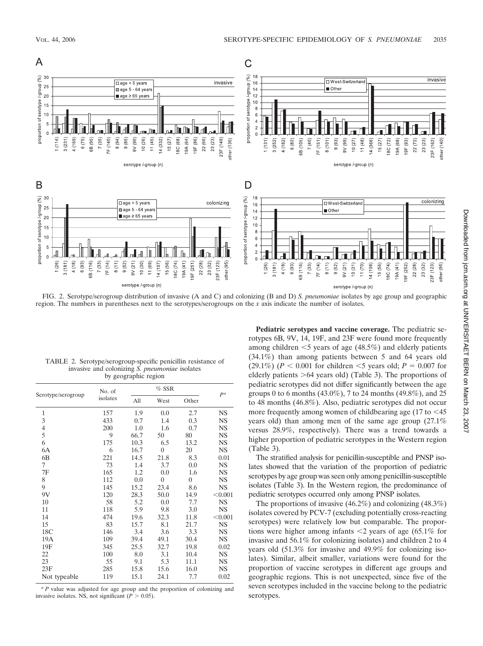

FIG. 2. Serotype/serogroup distribution of invasive (A and C) and colonizing (B and D) *S. pneumoniae* isolates by age group and geographic region. The numbers in parentheses next to the serotypes/serogroups on the *x* axis indicate the number of isolates.

| by geographic region |                    |         |      |       |                |
|----------------------|--------------------|---------|------|-------|----------------|
| Serotype/serogroup   | No. of<br>isolates | $%$ SSR |      |       | D <sup>a</sup> |
|                      |                    | All     | West | Other |                |
|                      | 157                | 1.9     | 0.0  | 2.7   | NS             |
| 3                    | 433                | 0.7     | 1.4  | 0.3   | NS             |
|                      | 200                | $1.0\,$ | 1.6  | 0.7   | NS             |

TABLE 2. Serotype/serogroup-specific penicillin resistance of invasive and colonizing *S. pneumoniae* isolates

| э            | 499 | U.7  | 1.4            | U.G            | LN D      |
|--------------|-----|------|----------------|----------------|-----------|
| 4            | 200 | 1.0  | 1.6            | 0.7            | <b>NS</b> |
| 5            | 9   | 66.7 | 50             | 80             | NS        |
| 6            | 175 | 10.3 | 6.5            | 13.2           | <b>NS</b> |
| 6А           | 6   | 16.7 | $\overline{0}$ | 20             | <b>NS</b> |
| 6B           | 221 | 14.5 | 21.8           | 8.3            | 0.01      |
| 7            | 73  | 1.4  | 3.7            | 0.0            | NS        |
| 7F           | 165 | 1.2  | 0.0            | 1.6            | NS.       |
| 8            | 112 | 0.0  | $\overline{0}$ | $\overline{0}$ | <b>NS</b> |
| 9            | 145 | 15.2 | 23.4           | 8.6            | NS.       |
| 9V           | 120 | 28.3 | 50.0           | 14.9           | < 0.001   |
| 10           | 58  | 5.2  | 0.0            | 7.7            | <b>NS</b> |
| 11           | 118 | 5.9  | 9.8            | 3.0            | NS.       |
| 14           | 474 | 19.6 | 32.3           | 11.8           | < 0.001   |
| 15           | 83  | 15.7 | 8.1            | 21.7           | <b>NS</b> |
| 18C          | 146 | 3.4  | 3.6            | 3.3            | NS        |
| 19A          | 109 | 39.4 | 49.1           | 30.4           | NS        |
| 19F          | 345 | 25.5 | 32.7           | 19.8           | 0.02      |
| 22           | 100 | 8.0  | 3.1            | 10.4           | NS.       |
| 23           | 55  | 9.1  | 5.3            | 11.1           | NS        |
| 23F          | 285 | 15.8 | 15.6           | 16.0           | NS        |
| Not typeable | 119 | 15.1 | 24.1           | 7.7            | 0.02      |

*<sup>a</sup> P* value was adjusted for age group and the proportion of colonizing and invasive isolates. NS, not significant  $(P > 0.05)$ .

**Pediatric serotypes and vaccine coverage.** The pediatric serotypes 6B, 9V, 14, 19F, and 23F were found more frequently among children -5 years of age (48.5%) and elderly patients (34.1%) than among patients between 5 and 64 years old  $(29.1\%) (P < 0.001$  for children  $\leq 5$  years old;  $P = 0.007$  for elderly patients  $>64$  years old) (Table 3). The proportions of pediatric serotypes did not differ significantly between the age groups 0 to 6 months (43.0%), 7 to 24 months (49.8%), and 25 to 48 months (46.8%). Also, pediatric serotypes did not occur more frequently among women of childbearing age  $(17 \text{ to } < 45)$ years old) than among men of the same age group (27.1% versus 28.9%, respectively). There was a trend towards a higher proportion of pediatric serotypes in the Western region (Table 3).

The stratified analysis for penicillin-susceptible and PNSP isolates showed that the variation of the proportion of pediatric serotypes by age group was seen only among penicillin-susceptible isolates (Table 3). In the Western region, the predominance of pediatric serotypes occurred only among PNSP isolates.

The proportions of invasive (46.2%) and colonizing (48.3%) isolates covered by PCV-7 (excluding potentially cross-reacting serotypes) were relatively low but comparable. The proportions were higher among infants  $\leq$  years of age (65.1% for invasive and 56.1% for colonizing isolates) and children 2 to 4 years old (51.3% for invasive and 49.9% for colonizing isolates). Similar, albeit smaller, variations were found for the proportion of vaccine serotypes in different age groups and geographic regions. This is not unexpected, since five of the seven serotypes included in the vaccine belong to the pediatric serotypes.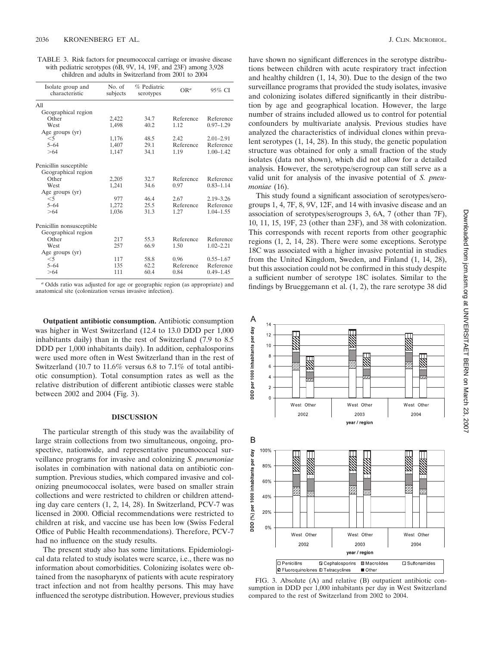TABLE 3. Risk factors for pneumococcal carriage or invasive disease with pediatric serotypes (6B, 9V, 14, 19F, and 23F) among 3,928 children and adults in Switzerland from 2001 to 2004

| Isolate group and<br>characteristic | No. of<br>subjects | % Pediatric<br>serotypes | OR <sup>a</sup> | 95% CI        |
|-------------------------------------|--------------------|--------------------------|-----------------|---------------|
| All                                 |                    |                          |                 |               |
| Geographical region                 |                    |                          |                 |               |
| Other                               | 2,422              | 34.7                     | Reference       | Reference     |
| West                                | 1,498              | 40.2                     | 1.12            | $0.97 - 1.29$ |
| Age groups (yr)                     |                    |                          |                 |               |
| $<$ 5                               | 1,176              | 48.5                     | 2.42            | $2.01 - 2.91$ |
| $5 - 64$                            | 1,407              | 29.1                     | Reference       | Reference     |
| >64                                 | 1,147              | 34.1                     | 1.19            | $1.00 - 1.42$ |
| Penicillin susceptible              |                    |                          |                 |               |
| Geographical region                 |                    |                          |                 |               |
| Other                               | 2,205              | 32.7                     | Reference       | Reference     |
| West                                | 1,241              | 34.6                     | 0.97            | $0.83 - 1.14$ |
| Age groups (yr)                     |                    |                          |                 |               |
| $<$ 5                               | 977                | 46.4                     | 2.67            | $2.19 - 3.26$ |
| $5 - 64$                            | 1,272              | 25.5                     | Reference       | Reference     |
| >64                                 | 1.036              | 31.3                     | 1.27            | $1.04 - 1.55$ |
| Penicillin nonsusceptible           |                    |                          |                 |               |
| Geographical region                 |                    |                          |                 |               |
| Other                               | 217                | 55.3                     | Reference       | Reference     |
| West                                | 257                | 66.9                     | 1.50            | $1.02 - 2.21$ |
| Age groups (yr)                     |                    |                          |                 |               |
| $<$ 5                               | 117                | 58.8                     | 0.96            | $0.55 - 1.67$ |
| $5 - 64$                            | 135                | 62.2                     | Reference       | Reference     |
| >64                                 | 111                | 60.4                     | 0.84            | $0.49 - 1.45$ |
|                                     |                    |                          |                 |               |

*<sup>a</sup>* Odds ratio was adjusted for age or geographic region (as appropriate) and anatomical site (colonization versus invasive infection).

**Outpatient antibiotic consumption.** Antibiotic consumption was higher in West Switzerland (12.4 to 13.0 DDD per 1,000 inhabitants daily) than in the rest of Switzerland (7.9 to 8.5 DDD per 1,000 inhabitants daily). In addition, cephalosporins were used more often in West Switzerland than in the rest of Switzerland (10.7 to 11.6% versus 6.8 to 7.1% of total antibiotic consumption). Total consumption rates as well as the relative distribution of different antibiotic classes were stable between 2002 and 2004 (Fig. 3).

### **DISCUSSION**

The particular strength of this study was the availability of large strain collections from two simultaneous, ongoing, prospective, nationwide, and representative pneumococcal surveillance programs for invasive and colonizing *S. pneumoniae* isolates in combination with national data on antibiotic consumption. Previous studies, which compared invasive and colonizing pneumococcal isolates, were based on smaller strain collections and were restricted to children or children attending day care centers (1, 2, 14, 28). In Switzerland, PCV-7 was licensed in 2000. Official recommendations were restricted to children at risk, and vaccine use has been low (Swiss Federal Office of Public Health recommendations). Therefore, PCV-7 had no influence on the study results.

The present study also has some limitations. Epidemiological data related to study isolates were scarce, i.e., there was no information about comorbidities. Colonizing isolates were obtained from the nasopharynx of patients with acute respiratory tract infection and not from healthy persons. This may have influenced the serotype distribution. However, previous studies have shown no significant differences in the serotype distributions between children with acute respiratory tract infection and healthy children (1, 14, 30). Due to the design of the two surveillance programs that provided the study isolates, invasive and colonizing isolates differed significantly in their distribution by age and geographical location. However, the large number of strains included allowed us to control for potential confounders by multivariate analysis. Previous studies have analyzed the characteristics of individual clones within prevalent serotypes (1, 14, 28). In this study, the genetic population structure was obtained for only a small fraction of the study isolates (data not shown), which did not allow for a detailed analysis. However, the serotype/serogroup can still serve as a valid unit for analysis of the invasive potential of *S. pneumoniae* (16).

This study found a significant association of serotypes/serogroups 1, 4, 7F, 8, 9V, 12F, and 14 with invasive disease and an association of serotypes/serogroups 3, 6A, 7 (other than 7F), 10, 11, 15, 19F, 23 (other than 23F), and 38 with colonization. This corresponds with recent reports from other geographic regions (1, 2, 14, 28). There were some exceptions. Serotype 18C was associated with a higher invasive potential in studies from the United Kingdom, Sweden, and Finland (1, 14, 28), but this association could not be confirmed in this study despite a sufficient number of serotype 18C isolates. Similar to the findings by Brueggemann et al. (1, 2), the rare serotype 38 did



FIG. 3. Absolute (A) and relative (B) outpatient antibiotic consumption in DDD per 1,000 inhabitants per day in West Switzerland compared to the rest of Switzerland from 2002 to 2004.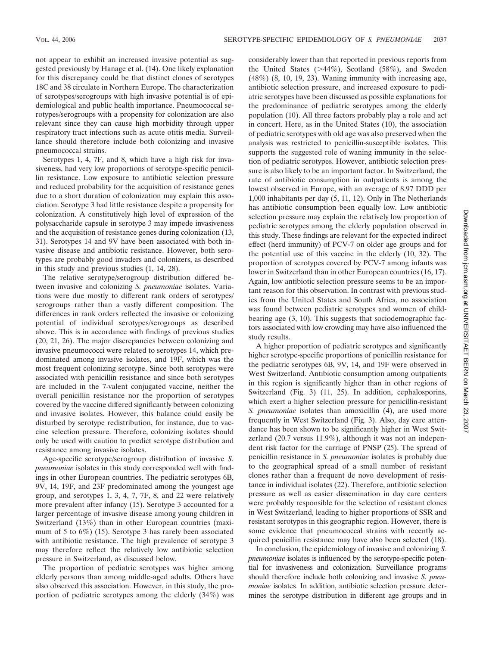not appear to exhibit an increased invasive potential as suggested previously by Hanage et al. (14). One likely explanation for this discrepancy could be that distinct clones of serotypes 18C and 38 circulate in Northern Europe. The characterization of serotypes/serogroups with high invasive potential is of epidemiological and public health importance. Pneumococcal serotypes/serogroups with a propensity for colonization are also relevant since they can cause high morbidity through upper respiratory tract infections such as acute otitis media. Surveillance should therefore include both colonizing and invasive pneumococcal strains.

Serotypes 1, 4, 7F, and 8, which have a high risk for invasiveness, had very low proportions of serotype-specific penicillin resistance. Low exposure to antibiotic selection pressure and reduced probability for the acquisition of resistance genes due to a short duration of colonization may explain this association. Serotype 3 had little resistance despite a propensity for colonization. A constitutively high level of expression of the polysaccharide capsule in serotype 3 may impede invasiveness and the acquisition of resistance genes during colonization (13, 31). Serotypes 14 and 9V have been associated with both invasive disease and antibiotic resistance. However, both serotypes are probably good invaders and colonizers, as described in this study and previous studies (1, 14, 28).

The relative serotype/serogroup distribution differed between invasive and colonizing *S. pneumoniae* isolates. Variations were due mostly to different rank orders of serotypes/ serogroups rather than a vastly different composition. The differences in rank orders reflected the invasive or colonizing potential of individual serotypes/serogroups as described above. This is in accordance with findings of previous studies (20, 21, 26). The major discrepancies between colonizing and invasive pneumococci were related to serotypes 14, which predominated among invasive isolates, and 19F, which was the most frequent colonizing serotype. Since both serotypes were associated with penicillin resistance and since both serotypes are included in the 7-valent conjugated vaccine, neither the overall penicillin resistance nor the proportion of serotypes covered by the vaccine differed significantly between colonizing and invasive isolates. However, this balance could easily be disturbed by serotype redistribution, for instance, due to vaccine selection pressure. Therefore, colonizing isolates should only be used with caution to predict serotype distribution and resistance among invasive isolates.

Age-specific serotype/serogroup distribution of invasive *S. pneumoniae* isolates in this study corresponded well with findings in other European countries. The pediatric serotypes 6B, 9V, 14, 19F, and 23F predominated among the youngest age group, and serotypes 1, 3, 4, 7, 7F, 8, and 22 were relatively more prevalent after infancy (15). Serotype 3 accounted for a larger percentage of invasive disease among young children in Switzerland (13%) than in other European countries (maximum of 5 to 6%) (15). Serotype 3 has rarely been associated with antibiotic resistance. The high prevalence of serotype 3 may therefore reflect the relatively low antibiotic selection pressure in Switzerland, as discussed below.

The proportion of pediatric serotypes was higher among elderly persons than among middle-aged adults. Others have also observed this association. However, in this study, the proportion of pediatric serotypes among the elderly (34%) was considerably lower than that reported in previous reports from the United States  $(>44\%)$ , Scotland  $(58\%)$ , and Sweden (48%) (8, 10, 19, 23). Waning immunity with increasing age, antibiotic selection pressure, and increased exposure to pediatric serotypes have been discussed as possible explanations for the predominance of pediatric serotypes among the elderly population (10). All three factors probably play a role and act in concert. Here, as in the United States (10), the association of pediatric serotypes with old age was also preserved when the analysis was restricted to penicillin-susceptible isolates. This supports the suggested role of waning immunity in the selection of pediatric serotypes. However, antibiotic selection pressure is also likely to be an important factor. In Switzerland, the rate of antibiotic consumption in outpatients is among the lowest observed in Europe, with an average of 8.97 DDD per 1,000 inhabitants per day (5, 11, 12). Only in The Netherlands has antibiotic consumption been equally low. Low antibiotic selection pressure may explain the relatively low proportion of pediatric serotypes among the elderly population observed in this study. These findings are relevant for the expected indirect effect (herd immunity) of PCV-7 on older age groups and for the potential use of this vaccine in the elderly (10, 32). The proportion of serotypes covered by PCV-7 among infants was lower in Switzerland than in other European countries (16, 17). Again, low antibiotic selection pressure seems to be an important reason for this observation. In contrast with previous studies from the United States and South Africa, no association was found between pediatric serotypes and women of childbearing age (3, 10). This suggests that sociodemographic factors associated with low crowding may have also influenced the study results.

A higher proportion of pediatric serotypes and significantly higher serotype-specific proportions of penicillin resistance for the pediatric serotypes 6B, 9V, 14, and 19F were observed in West Switzerland. Antibiotic consumption among outpatients in this region is significantly higher than in other regions of Switzerland (Fig. 3) (11, 25). In addition, cephalosporins, which exert a higher selection pressure for penicillin-resistant *S. pneumoniae* isolates than amoxicillin (4), are used more frequently in West Switzerland (Fig. 3). Also, day care attendance has been shown to be significantly higher in West Switzerland (20.7 versus 11.9%), although it was not an independent risk factor for the carriage of PNSP (25). The spread of penicillin resistance in *S. pneumoniae* isolates is probably due to the geographical spread of a small number of resistant clones rather than a frequent de novo development of resistance in individual isolates (22). Therefore, antibiotic selection pressure as well as easier dissemination in day care centers were probably responsible for the selection of resistant clones in West Switzerland, leading to higher proportions of SSR and resistant serotypes in this geographic region. However, there is some evidence that pneumococcal strains with recently acquired penicillin resistance may have also been selected (18).

In conclusion, the epidemiology of invasive and colonizing *S. pneumoniae* isolates is influenced by the serotype-specific potential for invasiveness and colonization. Surveillance programs should therefore include both colonizing and invasive *S. pneumoniae* isolates*.* In addition, antibiotic selection pressure determines the serotype distribution in different age groups and in